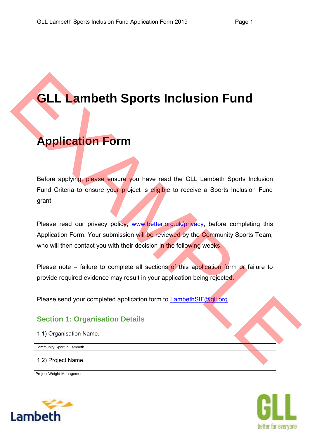# **GLL Lambeth Sports Inclusion Fund**

# **Application Form**

Before applying, please ensure you have read the GLL Lambeth Sports Inclusion Fund Criteria to ensure your project is eligible to receive a Sports Inclusion Fund grant. **GLL Lambeth Sports Inclusion Fund<br>
Application Form**<br>
Before applying please ensure you have read the GLL Lambeth Sports inclusion<br>
Fund Cirieria to ensure your project is englise to receive a Sports Inclusion<br>
grant.<br>
Pl

Please read our privacy policy, www.better.org.uk/privacy, before completing this Application Form. Your submission will be reviewed by the Community Sports Team, who will then contact you with their decision in the following weeks.

Please note – failure to complete all sections of this application form or failure to provide required evidence may result in your application being rejected.

Please send your completed application form to LambethSIF@gll.org.

## **Section 1: Organisation Details**

1.1) Organisation Name.

Community Sport in Lambeth

1.2) Project Name.

Project Weight Management



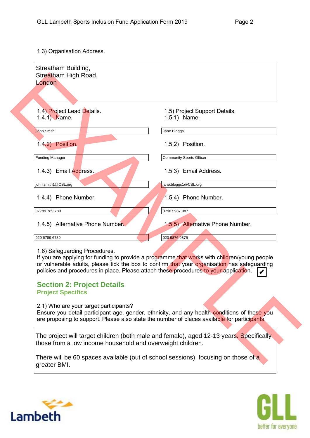1.3) Organisation Address.

| Streatham High Road,<br>London                                                                 |                                                                                                                                                                                                                                                                                       |
|------------------------------------------------------------------------------------------------|---------------------------------------------------------------------------------------------------------------------------------------------------------------------------------------------------------------------------------------------------------------------------------------|
|                                                                                                |                                                                                                                                                                                                                                                                                       |
| 1.4) Project Lead Details.<br>1.4.1) Name.                                                     | 1.5) Project Support Details.<br>1.5.1) Name.                                                                                                                                                                                                                                         |
| John Smith                                                                                     | Jane Bloggs                                                                                                                                                                                                                                                                           |
| 1.4.2) Position.                                                                               | 1.5.2) Position.                                                                                                                                                                                                                                                                      |
| <b>Funding Manager</b>                                                                         | <b>Community Sports Officer</b>                                                                                                                                                                                                                                                       |
| 1.4.3) Email Address.                                                                          | 1.5.3) Email Address.                                                                                                                                                                                                                                                                 |
| john.smith1@CSL.org                                                                            | jane.bloggs1@CSL.org                                                                                                                                                                                                                                                                  |
| 1.4.4) Phone Number.                                                                           | 1.5.4) Phone Number.                                                                                                                                                                                                                                                                  |
| 07789 789 789                                                                                  | 07987 987 987                                                                                                                                                                                                                                                                         |
| 1.4.5) Alternative Phone Number                                                                | 1.5.5) Alternative Phone Number.                                                                                                                                                                                                                                                      |
| 020 6789 6789                                                                                  | 020 9876 9876                                                                                                                                                                                                                                                                         |
| 1.6) Safeguarding Procedures.<br><b>Section 2: Project Details</b><br><b>Project Specifics</b> | If you are applying for funding to provide a programme that works with children/young people<br>or vulnerable adults, please tick the box to confirm that your organisation has safeguarding<br>policies and procedures in place. Please attach these procedures to your application. |
| 2.1) Who are your target participants?                                                         | Ensure you detail participant age, gender, ethnicity, and any health conditions of those you<br>are proposing to support. Please also state the number of places available for participants.                                                                                          |
|                                                                                                | The project will target children (both male and female), aged 12-13 years. Specifically                                                                                                                                                                                               |

### 1.6) Safeguarding Procedures.

### **Section 2: Project Details Project Specifics**

There will be 60 spaces available (out of school sessions), focusing on those of a



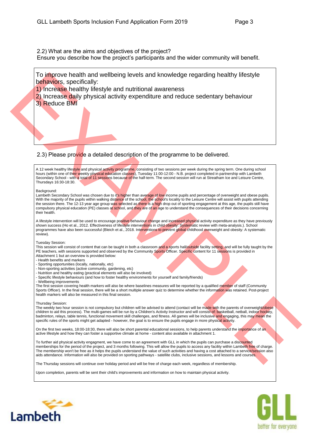2.2) What are the aims and objectives of the project?

Ensure you describe how the project's participants and the wider community will benefit.

To improve health and wellbeing levels and knowledge regarding healthy lifestyle behaviors, specifically:

1) Increase healthy lifestyle and nutritional awareness

- 2) Increase daily physical activity expenditure and reduce sedentary behaviour
- 3) Reduce BMI

2.3) Please provide a detailed description of the programme to be delivered.

A 12 week healthy lifestyle and physical activity programme, consisting of two sessions per week during the spring term. One during school hours (within one of their weekly physical education classes), Tuesday 11:00-12:00 - N.B. project completed in partnership with Lambeth Secondary School - with a total of 11 sessions because of the half-term. The second session will run at Streatham Ice and Leisure Centre, Thursdays 16:30-18:30.

#### Background:

To import health and well-being levels and knowledge regarding healthy lifestyle<br>
2.3) Please presented in the state of the state of the state of the state of the state of the state of the state of the state of the state o Lambeth Secondary School was chosen due to it's higher than average of low income pupils and percentage of overweight and obese pupils. With the majority of the pupils within walking distance of the school, the school's locality to the Leisure Centre will assist with pupils attending the session there. The 12-13 year age group was selected as there is a high drop out of sporting engagement at this age, the pupils still have compulsory physical education (PE) classes at school, and they are of an age to understand the consequences of their decisions concerning their health.

A lifestyle intervention will be used to encourage positive behaviour change and increased physical activity expenditure as they have previously shown success (Ho et al., 2012. Effectiveness of lifestyle interventions in child obesity: Systematic review with meta-analysis.). School programmes have also been successful (Bleich et al., 2018. Interventions to prevent global childhood overweight and obesity: A systematic review).

#### Tuesday Session:

This session will consist of content that can be taught in both a classroom and a sports hall/outside facility setting, and will be fully taught by the PE teachers, with sessions supported and observed by the Community Sports Officer. Specific content for 11 sessions is provided in Attachment 1 but an overview is provided below:

- Health benefits and markers
- Sporting opportunities (locally, nationally, etc)
- Non-sporting activities (active community, gardening, etc)
- Nutrition and healthy eating (practical elements will also be involved)
- Specific lifestyle behaviours (and how to foster healthy environments for yourself and family/friends)
- Wellbeing improvements

The first session covering health markers will also be where baselines measures will be reported by a qualified member of staff (Community Sports Officer). In the final session, there will be a short multiple answer quiz to determine whether the information was retained. Post-project health markers will also be measured in this final session.

#### Thursday Session:

The weekly two hour session is not compulsory but children will be advised to attend (contact will be made with the parents of overweight/obese children to aid this process). The multi-games will be run by a Children's Activity Instructor and will consist of: basketball, netball, indoor hockey, badminton, relays, table tennis, functional movement skill challenges, and fitness. All games will be inclusive and engaging, this may mean the specific rules of the sports might get adapted - however, the goal is to ensure the pupils engage in more physical activity.

On the first two weeks, 18:00-18:30, there will also be short parental educational sessions, to help parents understand the importance of an active lifestyle and how they can foster a supportive climate at home - content also available in attachment 1.

To further aid physical activity engagment, we have come to an agreement with GLL in which the pupils can purchase a discounted memberships for the period of the project, and 3 months following. This will allow the pupils to access any facility within Lambeth free of charge. The membership won't be free as it helps the pupils understand the value of such activities and having a cost attached to a service/session also aids attendance. Information will also be provided on sporting pathways - satellite clubs, inclusive sessions, and lessons and courses.

The Thursday sessions will continue over holiday period and will be free of charge each week, regardless of membership.

Upon completion, parents will be sent their child's improvements and information on how to maintain physical activity.



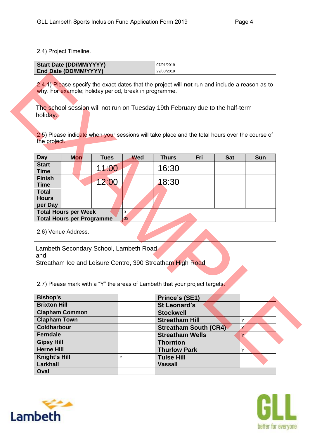2.4) Project Timeline.

| <b>Start Date (DD/MM/YYYY)</b> | 07/01/2019 |
|--------------------------------|------------|
|                                |            |
| End Date (DD/MM/YYYY)          | 29/03/2019 |

| <b>Day</b>                              | <b>Mon</b>                       | <b>Tues</b> | <b>Wed</b> | <b>Thurs</b> | Fri | <b>Sat</b> | <b>Sun</b> |
|-----------------------------------------|----------------------------------|-------------|------------|--------------|-----|------------|------------|
| <b>Start</b><br><b>Time</b>             |                                  | 11:00       |            | 16:30        |     |            |            |
| <b>Finish</b><br><b>Time</b>            |                                  | 12:00       |            | 18:30        |     |            |            |
| <b>Total</b><br><b>Hours</b><br>per Day |                                  |             |            |              |     |            |            |
|                                         | <b>Total Hours per Week</b>      |             | 3          |              |     |            |            |
|                                         | <b>Total Hours per Programme</b> |             | 35         |              |     |            |            |

|                                                                                                                                                  |                                  | why. For example; holiday period, break in programme. |            |                                                                                                |                              |            |            |
|--------------------------------------------------------------------------------------------------------------------------------------------------|----------------------------------|-------------------------------------------------------|------------|------------------------------------------------------------------------------------------------|------------------------------|------------|------------|
| holiday.                                                                                                                                         |                                  |                                                       |            | The school session will not run on Tuesday 19th February due to the half-term                  |                              |            |            |
|                                                                                                                                                  |                                  |                                                       |            |                                                                                                |                              |            |            |
|                                                                                                                                                  |                                  |                                                       |            | 2.5) Please indicate when your sessions will take place and the total hours over the course of |                              |            |            |
| the project.                                                                                                                                     |                                  |                                                       |            |                                                                                                |                              |            |            |
| <b>Day</b>                                                                                                                                       | <b>Mon</b>                       | <b>Tues</b>                                           | <b>Wed</b> | <b>Thurs</b>                                                                                   | Fri                          | <b>Sat</b> | <b>Sun</b> |
| <b>Start</b><br><b>Time</b>                                                                                                                      |                                  | 11:00                                                 |            | 16:30                                                                                          |                              |            |            |
| <b>Finish</b><br><b>Time</b>                                                                                                                     |                                  | 12:00                                                 |            | 18:30                                                                                          |                              |            |            |
| <b>Total</b><br><b>Hours</b>                                                                                                                     |                                  |                                                       |            |                                                                                                |                              |            |            |
| per Day                                                                                                                                          | <b>Total Hours per Week</b>      |                                                       | 3          |                                                                                                |                              |            |            |
|                                                                                                                                                  | <b>Total Hours per Programme</b> |                                                       | 35         |                                                                                                |                              |            |            |
|                                                                                                                                                  |                                  |                                                       |            |                                                                                                |                              |            |            |
|                                                                                                                                                  | 2.6) Venue Address.              |                                                       |            |                                                                                                |                              |            |            |
|                                                                                                                                                  |                                  | Lambeth Secondary School, Lambeth Road                |            |                                                                                                |                              |            |            |
|                                                                                                                                                  |                                  |                                                       |            |                                                                                                |                              |            |            |
|                                                                                                                                                  |                                  |                                                       |            | Streatham Ice and Leisure Centre, 390 Streatham High Road                                      |                              |            |            |
|                                                                                                                                                  |                                  |                                                       |            |                                                                                                |                              |            |            |
|                                                                                                                                                  |                                  |                                                       |            | 2.7) Please mark with a "Y" the areas of Lambeth that your project targets.                    |                              |            |            |
|                                                                                                                                                  |                                  |                                                       |            | Prince's (SE1)                                                                                 |                              |            |            |
|                                                                                                                                                  |                                  |                                                       |            | <b>St Leonard's</b>                                                                            |                              |            |            |
|                                                                                                                                                  | <b>Clapham Common</b>            |                                                       |            | <b>Stockwell</b>                                                                               |                              |            |            |
|                                                                                                                                                  |                                  |                                                       |            | <b>Streatham Hill</b>                                                                          |                              |            | Y          |
|                                                                                                                                                  |                                  |                                                       |            |                                                                                                | <b>Streatham South (CR4)</b> |            | Y          |
|                                                                                                                                                  |                                  |                                                       |            | <b>Streatham Wells</b>                                                                         |                              |            | Ÿ.         |
|                                                                                                                                                  |                                  |                                                       |            | <b>Thornton</b>                                                                                |                              |            |            |
| and<br><b>Bishop's</b><br><b>Brixton Hill</b><br><b>Clapham Town</b><br><b>Coldharbour</b><br>Ferndale<br><b>Gipsy Hill</b><br><b>Herne Hill</b> |                                  |                                                       |            | <b>Thurlow Park</b>                                                                            |                              |            | Y          |
| Knight's Hill<br>Larkhall                                                                                                                        |                                  |                                                       | Υ          | <b>Tulse Hill</b><br><b>Vassall</b>                                                            |                              |            |            |



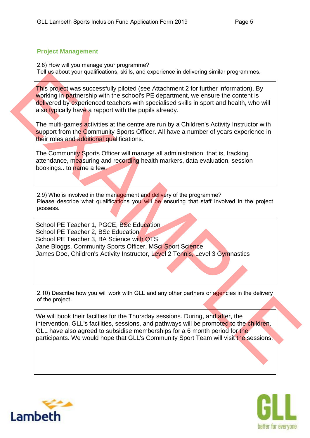## **Project Management**

2.8) How will you manage your programme? Tell us about your qualifications, skills, and experience in delivering similar programmes.

This project was successfully piloted (see Attachment 2 for further information). By working in partnership with the school's PE department, we ensure the content is delivered by experienced teachers with specialised skills in sport and health, who will also typically have a rapport with the pupils already.

The multi-games activities at the centre are run by a Children's Activity Instructor with support from the Community Sports Officer. All have a number of years experience in their roles and additional qualifications.

The Community Sports Officer will manage all administration; that is, tracking attendance, measuring and recording health markers, data evaluation, session bookings.. to name a few.

2.9) Who is involved in the management and delivery of the programme? Please describe what qualifications you will be ensuring that staff involved in the project possess.

This project was successfully piloted (see Attachment 2 for further information). By<br>Working in partnership with the schools PE doparrmont, we ensure the conton is<br>wholen to presentent teaches with specialised skills in sp School PE Teacher 1, PGCE, BSc Education School PE Teacher 2, BSc Education School PE Teacher 3, BA Science with QTS Jane Bloggs, Community Sports Officer, MSci Sport Science James Doe, Children's Activity Instructor, Level 2 Tennis, Level 3 Gymnastics

2.10) Describe how you will work with GLL and any other partners or agencies in the delivery of the project.

We will book their facilties for the Thursday sessions. During, and after, the intervention, GLL's facilities, sessions, and pathways will be promoted to the children. GLL have also agreed to subsidise memberships for a 6 month period for the participants. We would hope that GLL's Community Sport Team will visit the sessions.



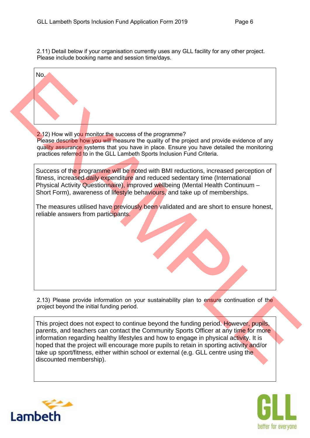2.11) Detail below if your organisation currently uses any GLL facility for any other project. Please include booking name and session time/days.

| No.                                                                                                                                                                                                                                                                                                                                                                                                                                                                               |
|-----------------------------------------------------------------------------------------------------------------------------------------------------------------------------------------------------------------------------------------------------------------------------------------------------------------------------------------------------------------------------------------------------------------------------------------------------------------------------------|
|                                                                                                                                                                                                                                                                                                                                                                                                                                                                                   |
|                                                                                                                                                                                                                                                                                                                                                                                                                                                                                   |
|                                                                                                                                                                                                                                                                                                                                                                                                                                                                                   |
| 2.12) How will you monitor the success of the programme?<br>Please describe how you will measure the quality of the project and provide evidence of any<br>quality assurance systems that you have in place. Ensure you have detailed the monitoring<br>practices referred to in the GLL Lambeth Sports Inclusion Fund Criteria.                                                                                                                                                  |
| Success of the programme will be noted with BMI reductions, increased perception of<br>fitness, increased daily expenditure and reduced sedentary time (International<br>Physical Activity Questionnaire), improved wellbeing (Mental Health Continuum -<br>Short Form), awareness of lifestyle behaviours, and take up of memberships.                                                                                                                                           |
| The measures utilised have previously been validated and are short to ensure honest,<br>reliable answers from participants.                                                                                                                                                                                                                                                                                                                                                       |
|                                                                                                                                                                                                                                                                                                                                                                                                                                                                                   |
| 2.13) Please provide information on your sustainability plan to ensure continuation of the<br>project beyond the initial funding period.                                                                                                                                                                                                                                                                                                                                          |
| This project does not expect to continue beyond the funding period. However, pupils,<br>parents, and teachers can contact the Community Sports Officer at any time for more<br>information regarding healthy lifestyles and how to engage in physical activity. It is<br>hoped that the project will encourage more pupils to retain in sporting activity and/or<br>take up sport/fitness, either within school or external (e.g. GLL centre using the<br>discounted membership). |



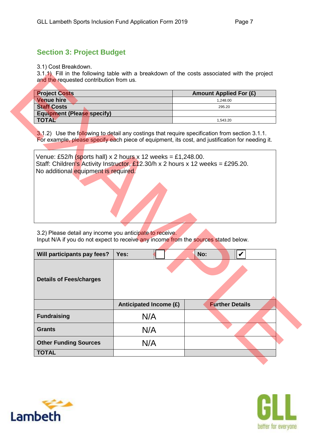## **Section 3: Project Budget**

3.1) Cost Breakdown.

3.1.1) Fill in the following table with a breakdown of the costs associated with the project and the requested contribution from us.

| <b>Project Costs</b>              | <b>Amount Applied For (£)</b> |
|-----------------------------------|-------------------------------|
| <b>Venue hire</b>                 | 1.248.00                      |
| <b>Staff Costs</b>                | 295.20                        |
| <b>Equipment (Please specify)</b> |                               |
| <b>TOTAL</b>                      | 1.543.20                      |

| <b>Project Costs</b>                                     |                                                                                                                                                 | <b>Amount Applied For (£)</b> |
|----------------------------------------------------------|-------------------------------------------------------------------------------------------------------------------------------------------------|-------------------------------|
| <b>Venue hire</b>                                        |                                                                                                                                                 | 1,248.00                      |
| <b>Staff Costs</b>                                       |                                                                                                                                                 | 295.20                        |
| <b>Equipment (Please specify)</b>                        |                                                                                                                                                 |                               |
| <b>TOTAL</b>                                             |                                                                                                                                                 | 1,543.20                      |
| No additional equipment is required.                     | Venue: £52/h (sports hall) x 2 hours x 12 weeks = £1,248.00.<br>Staff: Children's Activity Instructor, £12.30/h x 2 hours x 12 weeks = £295.20. |                               |
|                                                          |                                                                                                                                                 |                               |
| 3.2) Please detail any income you anticipate to receive. | Input N/A if you do not expect to receive any income from the sources stated below.                                                             |                               |
| Will participants pay fees?                              | Yes:                                                                                                                                            | $\boldsymbol{V}$<br>No:       |
| <b>Details of Fees/charges</b>                           |                                                                                                                                                 |                               |
|                                                          | Anticipated Income (£)                                                                                                                          | <b>Further Details</b>        |
|                                                          | N/A                                                                                                                                             |                               |
| <b>Fundraising</b><br><b>Grants</b>                      | N/A                                                                                                                                             |                               |



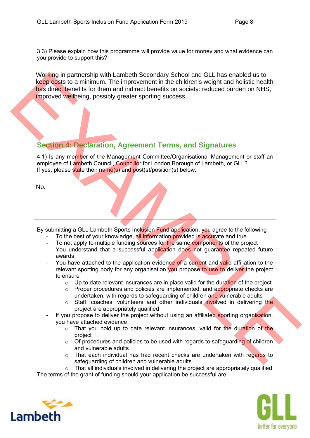3.3) Please explain how this programme will provide value for money and what evidence can you provide to support this?

Working in partnership with Lambeth Secondary School and GLL has enabled us to keep costs to a minimum. The improvement in the children's weight and holistic health has direct benefits for them and indirect benefits on society: reduced burden on NHS. improved wellbeing, possibly greater sporting success.

## **Section 4: Declaration, Agreement Terms, and Signatures**

|     | Working in partnership with Lambeth Secondary School and GLL has enabled us to<br>keep costs to a minimum. The improvement in the children's weight and holistic health<br>has direct benefits for them and indirect benefits on society: reduced burden on NHS,<br>improved wellbeing, possibly greater sporting success. |
|-----|----------------------------------------------------------------------------------------------------------------------------------------------------------------------------------------------------------------------------------------------------------------------------------------------------------------------------|
|     |                                                                                                                                                                                                                                                                                                                            |
|     | <b>Section 4: Declaration, Agreement Terms, and Signatures</b>                                                                                                                                                                                                                                                             |
|     | 4.1) Is any member of the Management Committee/Organisational Management or staff an<br>employee of Lambeth Council, Councillor for London Borough of Lambeth, or GLL?<br>If yes, please state their name(s) and post(s)/position(s) below:                                                                                |
| No. |                                                                                                                                                                                                                                                                                                                            |
|     |                                                                                                                                                                                                                                                                                                                            |
|     |                                                                                                                                                                                                                                                                                                                            |
|     | By submitting a GLL Lambeth Sports Inclusion Fund application, you agree to the following                                                                                                                                                                                                                                  |
|     | To the best of your knowledge, all information provided is accurate and true                                                                                                                                                                                                                                               |
|     | To not apply to multiple funding sources for the same components of the project                                                                                                                                                                                                                                            |
|     | You understand that a successful application does not guarantee repeated future                                                                                                                                                                                                                                            |
|     | awards                                                                                                                                                                                                                                                                                                                     |
|     | You have attached to the application evidence of a current and valid affiliation to the<br>relevant sporting body for any organisation you propose to use to deliver the project                                                                                                                                           |
|     | to ensure                                                                                                                                                                                                                                                                                                                  |
|     | Up to date relevant insurances are in place valid for the duration of the project<br>$\circ$                                                                                                                                                                                                                               |
|     | Proper procedures and policies are implemented, and appropriate checks are<br>$\circ$                                                                                                                                                                                                                                      |
|     | undertaken, with regards to safeguarding of children and vulnerable adults                                                                                                                                                                                                                                                 |
|     | Staff, coaches, volunteers and other individuals involved in delivering the<br>$\circ$                                                                                                                                                                                                                                     |
|     | project are appropriately qualified                                                                                                                                                                                                                                                                                        |
|     | If you propose to deliver the project without using an affiliated sporting organisation,                                                                                                                                                                                                                                   |
|     | you have attached evidence                                                                                                                                                                                                                                                                                                 |
|     | That you hold up to date relevant insurances, valid for the duration of the                                                                                                                                                                                                                                                |
|     |                                                                                                                                                                                                                                                                                                                            |
|     | project                                                                                                                                                                                                                                                                                                                    |
|     | Of procedures and policies to be used with regards to safeguarding of children<br>$\circ$                                                                                                                                                                                                                                  |
|     | and vulnerable adults<br>That each individual has had recent checks are undertaken with regards to<br>$\circ$                                                                                                                                                                                                              |

- To the best of your knowledge, all information provided is accurate and true
- To not apply to multiple funding sources for the same components of the project
- You understand that a successful application does not quarantee repeated future awards
- You have attached to the application evidence of a current and valid affiliation to the relevant sporting body for any organisation you propose to use to deliver the project to ensure
	- $\circ$  Up to date relevant insurances are in place valid for the duration of the project
	- $\circ$  Proper procedures and policies are implemented, and appropriate checks are undertaken, with regards to safeguarding of children and vulnerable adults
	- $\circ$  Staff, coaches, volunteers and other individuals involved in delivering the project are appropriately qualified
- If you propose to deliver the project without using an affiliated sporting organisation, you have attached evidence
	- $\circ$  That you hold up to date relevant insurances, valid for the duration of the project
	- $\circ$  Of procedures and policies to be used with regards to safeguarding of children and vulnerable adults
	- $\circ$  That each individual has had recent checks are undertaken with regards to safeguarding of children and vulnerable adults

 $\circ$  That all individuals involved in delivering the project are appropriately qualified The terms of the grant of funding should your application be successful are: